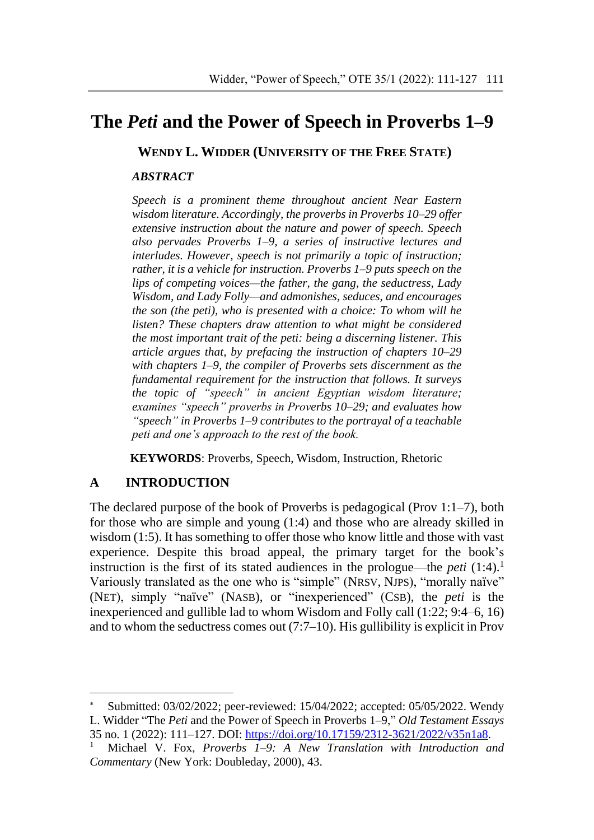# **The** *Peti* **and the Power of Speech in Proverbs 1–9\***

**WENDY L. WIDDER (UNIVERSITY OF THE FREE STATE)**

#### *ABSTRACT*

*Speech is a prominent theme throughout ancient Near Eastern wisdom literature. Accordingly, the proverbs in Proverbs 10–29 offer extensive instruction about the nature and power of speech. Speech also pervades Proverbs 1–9, a series of instructive lectures and interludes. However, speech is not primarily a topic of instruction; rather, it is a vehicle for instruction. Proverbs 1–9 puts speech on the lips of competing voices—the father, the gang, the seductress, Lady Wisdom, and Lady Folly—and admonishes, seduces, and encourages the son (the peti), who is presented with a choice: To whom will he listen? These chapters draw attention to what might be considered the most important trait of the peti: being a discerning listener. This article argues that, by prefacing the instruction of chapters 10–29 with chapters 1–9, the compiler of Proverbs sets discernment as the fundamental requirement for the instruction that follows. It surveys the topic of "speech" in ancient Egyptian wisdom literature; examines "speech" proverbs in Proverbs 10–29; and evaluates how "speech" in Proverbs 1–9 contributes to the portrayal of a teachable peti and one's approach to the rest of the book.*

**KEYWORDS**: Proverbs, Speech, Wisdom, Instruction, Rhetoric

### **A INTRODUCTION**

1

The declared purpose of the book of Proverbs is pedagogical (Prov 1:1–7), both for those who are simple and young (1:4) and those who are already skilled in wisdom (1:5). It has something to offer those who know little and those with vast experience. Despite this broad appeal, the primary target for the book's instruction is the first of its stated audiences in the prologue—the *peti*  $(1:4)$ .<sup>1</sup> Variously translated as the one who is "simple" (NRSV, NJPS), "morally naïve" (NET), simply "naïve" (NASB), or "inexperienced" (CSB), the *peti* is the inexperienced and gullible lad to whom Wisdom and Folly call (1:22; 9:4–6, 16) and to whom the seductress comes out (7:7–10). His gullibility is explicit in Prov

Submitted: 03/02/2022; peer-reviewed: 15/04/2022; accepted: 05/05/2022. Wendy L. Widder "The *Peti* and the Power of Speech in Proverbs 1–9," *Old Testament Essays* 35 no. 1 (2022): 111–127. DOI: [https://doi.org/10.17159/2312-3621/2022/v35n1a8.](https://doi.org/10.17159/2312-3621/2022/v35n1a8X)

<sup>1</sup> Michael V. Fox, *Proverbs 1–9: A New Translation with Introduction and Commentary* (New York: Doubleday, 2000), 43.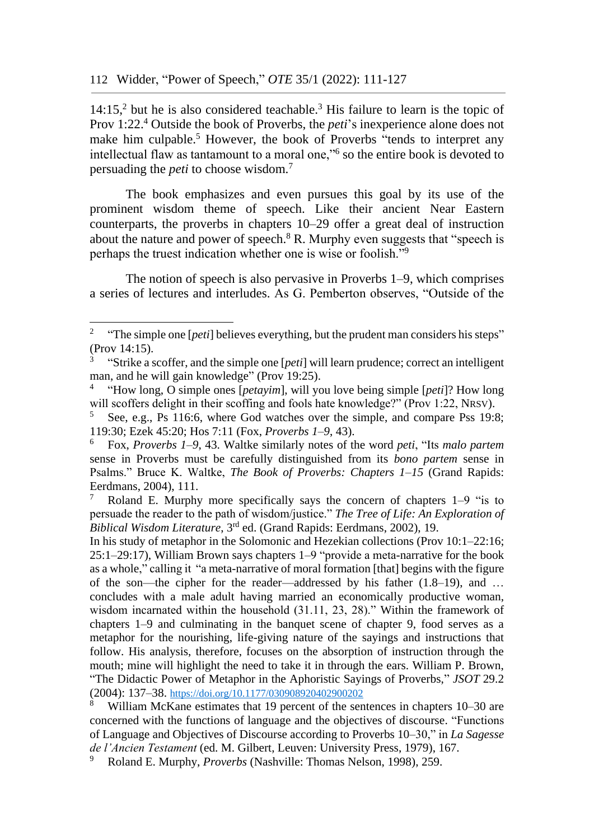1

 $14:15$ <sup>2</sup> but he is also considered teachable.<sup>3</sup> His failure to learn is the topic of Prov 1:22. <sup>4</sup> Outside the book of Proverbs, the *peti*'s inexperience alone does not make him culpable.<sup>5</sup> However, the book of Proverbs "tends to interpret any intellectual flaw as tantamount to a moral one,"<sup>6</sup> so the entire book is devoted to persuading the *peti* to choose wisdom.<sup>7</sup>

The book emphasizes and even pursues this goal by its use of the prominent wisdom theme of speech. Like their ancient Near Eastern counterparts, the proverbs in chapters 10–29 offer a great deal of instruction about the nature and power of speech.<sup>8</sup> R. Murphy even suggests that "speech is perhaps the truest indication whether one is wise or foolish."<sup>9</sup>

The notion of speech is also pervasive in Proverbs 1–9, which comprises a series of lectures and interludes. As G. Pemberton observes, "Outside of the

<sup>&</sup>lt;sup>2</sup> "The simple one [*peti*] believes everything, but the prudent man considers his steps" (Prov 14:15).

<sup>3</sup> "Strike a scoffer, and the simple one [*peti*] will learn prudence; correct an intelligent man, and he will gain knowledge" (Prov 19:25).

<sup>4</sup> "How long, O simple ones [*petayim*], will you love being simple [*peti*]? How long will scoffers delight in their scoffing and fools hate knowledge?" (Prov 1:22, NRSV).

<sup>5</sup> See, e.g., Ps 116:6, where God watches over the simple, and compare Pss 19:8; 119:30; Ezek 45:20; Hos 7:11 (Fox, *Proverbs 1–9*, 43).

<sup>6</sup> Fox, *Proverbs 1–9*, 43. Waltke similarly notes of the word *peti*, "Its *malo partem*  sense in Proverbs must be carefully distinguished from its *bono partem* sense in Psalms." Bruce K. Waltke, *The Book of Proverbs: Chapters 1*–*15* (Grand Rapids: Eerdmans, 2004), 111.

<sup>&</sup>lt;sup>7</sup> Roland E. Murphy more specifically says the concern of chapters  $1-9$  "is to persuade the reader to the path of wisdom/justice." *The Tree of Life: An Exploration of Biblical Wisdom Literature*, 3rd ed. (Grand Rapids: Eerdmans, 2002), 19.

In his study of metaphor in the Solomonic and Hezekian collections (Prov 10:1–22:16; 25:1–29:17), William Brown says chapters 1–9 "provide a meta-narrative for the book as a whole," calling it "a meta-narrative of moral formation [that] begins with the figure of the son—the cipher for the reader—addressed by his father (1.8–19), and … concludes with a male adult having married an economically productive woman, wisdom incarnated within the household (31.11, 23, 28)." Within the framework of chapters 1–9 and culminating in the banquet scene of chapter 9, food serves as a metaphor for the nourishing, life-giving nature of the sayings and instructions that follow. His analysis, therefore, focuses on the absorption of instruction through the mouth; mine will highlight the need to take it in through the ears. William P. Brown, "The Didactic Power of Metaphor in the Aphoristic Sayings of Proverbs," *JSOT* 29.2 (2004): 137–38. [https://doi.org/10.1177/030908920402900202](https://doi.org/10.1177%2F030908920402900202)

<sup>8</sup> William McKane estimates that 19 percent of the sentences in chapters 10–30 are concerned with the functions of language and the objectives of discourse. "Functions of Language and Objectives of Discourse according to Proverbs 10–30," in *La Sagesse de l'Ancien Testament* (ed. M. Gilbert, Leuven: University Press, 1979), 167.

<sup>9</sup> Roland E. Murphy, *Proverbs* (Nashville: Thomas Nelson, 1998), 259.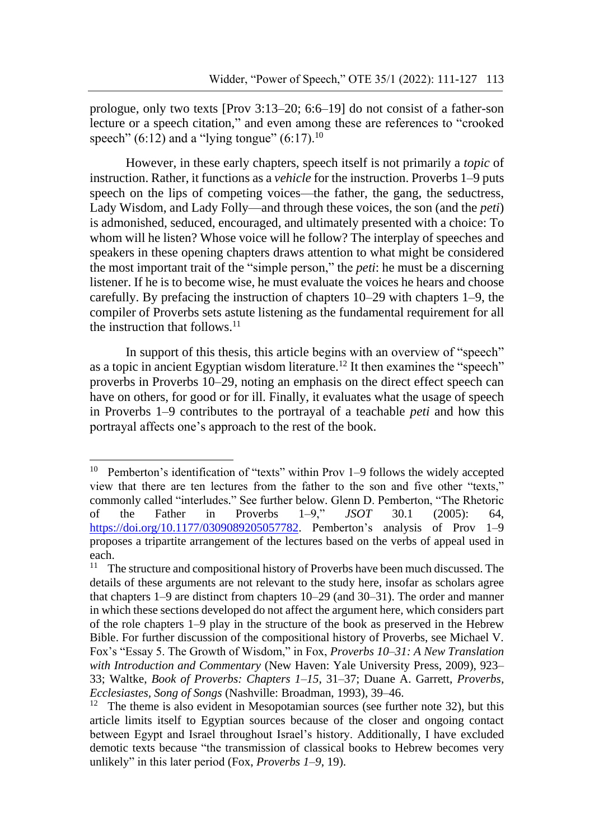prologue, only two texts [Prov 3:13–20; 6:6–19] do not consist of a father-son lecture or a speech citation," and even among these are references to "crooked speech" (6:12) and a "lying tongue" (6:17).<sup>10</sup>

However, in these early chapters, speech itself is not primarily a *topic* of instruction. Rather, it functions as a *vehicle* for the instruction. Proverbs 1–9 puts speech on the lips of competing voices—the father, the gang, the seductress, Lady Wisdom, and Lady Folly—and through these voices, the son (and the *peti*) is admonished, seduced, encouraged, and ultimately presented with a choice: To whom will he listen? Whose voice will he follow? The interplay of speeches and speakers in these opening chapters draws attention to what might be considered the most important trait of the "simple person," the *peti*: he must be a discerning listener. If he is to become wise, he must evaluate the voices he hears and choose carefully. By prefacing the instruction of chapters 10–29 with chapters 1–9, the compiler of Proverbs sets astute listening as the fundamental requirement for all the instruction that follows. $11$ 

In support of this thesis, this article begins with an overview of "speech" as a topic in ancient Egyptian wisdom literature.<sup>12</sup> It then examines the "speech" proverbs in Proverbs 10–29, noting an emphasis on the direct effect speech can have on others, for good or for ill. Finally, it evaluates what the usage of speech in Proverbs 1–9 contributes to the portrayal of a teachable *peti* and how this portrayal affects one's approach to the rest of the book.

<sup>&</sup>lt;sup>10</sup> Pemberton's identification of "texts" within Prov 1–9 follows the widely accepted view that there are ten lectures from the father to the son and five other "texts," commonly called "interludes." See further below. Glenn D. Pemberton, "The Rhetoric of the Father in Proverbs 1–9," *JSOT* 30.1 (2005): 64, [https://doi.org/10.1177/0309089205057782.](https://doi.org/10.1177/0309089205057782) Pemberton's analysis of Prov 1–9 proposes a tripartite arrangement of the lectures based on the verbs of appeal used in each.<br> $11 \text{ T}$ 

The structure and compositional history of Proverbs have been much discussed. The details of these arguments are not relevant to the study here, insofar as scholars agree that chapters 1–9 are distinct from chapters 10–29 (and 30–31). The order and manner in which these sections developed do not affect the argument here, which considers part of the role chapters 1–9 play in the structure of the book as preserved in the Hebrew Bible. For further discussion of the compositional history of Proverbs, see Michael V. Fox's "Essay 5. The Growth of Wisdom," in Fox, *Proverbs 10–31: A New Translation with Introduction and Commentary* (New Haven: Yale University Press, 2009), 923– 33; Waltke, *Book of Proverbs: Chapters 1*–*15*, 31–37; Duane A. Garrett, *Proverbs, Ecclesiastes, Song of Songs* (Nashville: Broadman, 1993), 39–46.

<sup>&</sup>lt;sup>12</sup> The theme is also evident in Mesopotamian sources (see further note 32), but this article limits itself to Egyptian sources because of the closer and ongoing contact between Egypt and Israel throughout Israel's history. Additionally, I have excluded demotic texts because "the transmission of classical books to Hebrew becomes very unlikely" in this later period (Fox, *Proverbs 1–9*, 19).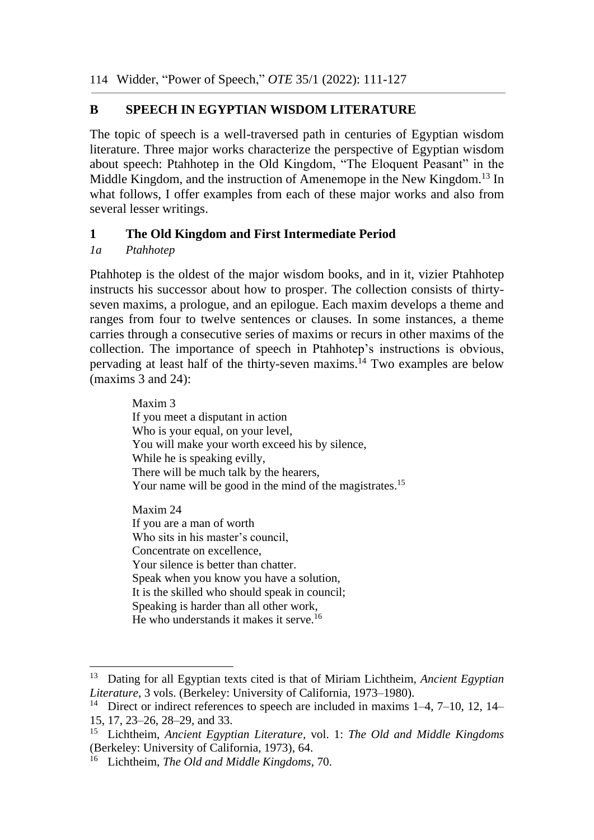# **B SPEECH IN EGYPTIAN WISDOM LITERATURE**

The topic of speech is a well-traversed path in centuries of Egyptian wisdom literature. Three major works characterize the perspective of Egyptian wisdom about speech: Ptahhotep in the Old Kingdom, "The Eloquent Peasant" in the Middle Kingdom, and the instruction of Amenemope in the New Kingdom.<sup>13</sup> In what follows, I offer examples from each of these major works and also from several lesser writings.

# **1 The Old Kingdom and First Intermediate Period**

## *1a Ptahhotep*

1

Ptahhotep is the oldest of the major wisdom books, and in it, vizier Ptahhotep instructs his successor about how to prosper. The collection consists of thirtyseven maxims, a prologue, and an epilogue. Each maxim develops a theme and ranges from four to twelve sentences or clauses. In some instances, a theme carries through a consecutive series of maxims or recurs in other maxims of the collection. The importance of speech in Ptahhotep's instructions is obvious, pervading at least half of the thirty-seven maxims. <sup>14</sup> Two examples are below (maxims 3 and 24):

> Maxim 3 If you meet a disputant in action Who is your equal, on your level, You will make your worth exceed his by silence, While he is speaking evilly, There will be much talk by the hearers, Your name will be good in the mind of the magistrates.<sup>15</sup> Maxim 24 If you are a man of worth Who sits in his master's council, Concentrate on excellence, Your silence is better than chatter. Speak when you know you have a solution, It is the skilled who should speak in council; Speaking is harder than all other work, He who understands it makes it serve.<sup>16</sup>

<sup>13</sup> Dating for all Egyptian texts cited is that of Miriam Lichtheim, *Ancient Egyptian Literature*, 3 vols. (Berkeley: University of California, 1973–1980).

<sup>&</sup>lt;sup>14</sup> Direct or indirect references to speech are included in maxims  $1-4$ ,  $7-10$ ,  $12$ ,  $14-$ 15, 17, 23–26, 28–29, and 33.

<sup>15</sup> Lichtheim, *Ancient Egyptian Literature,* vol. 1: *The Old and Middle Kingdoms*  (Berkeley: University of California, 1973), 64.

<sup>16</sup> Lichtheim, *The Old and Middle Kingdoms*, 70.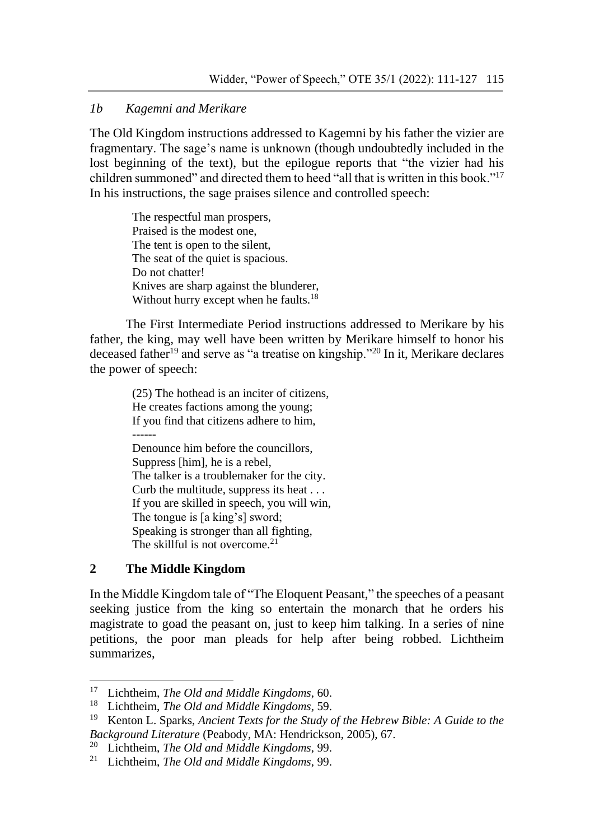### *1b Kagemni and Merikare*

The Old Kingdom instructions addressed to Kagemni by his father the vizier are fragmentary. The sage's name is unknown (though undoubtedly included in the lost beginning of the text), but the epilogue reports that "the vizier had his children summoned" and directed them to heed "all that is written in this book."<sup>17</sup> In his instructions, the sage praises silence and controlled speech:

> The respectful man prospers, Praised is the modest one, The tent is open to the silent, The seat of the quiet is spacious. Do not chatter! Knives are sharp against the blunderer, Without hurry except when he faults.<sup>18</sup>

The First Intermediate Period instructions addressed to Merikare by his father, the king, may well have been written by Merikare himself to honor his deceased father<sup>19</sup> and serve as "a treatise on kingship."<sup>20</sup> In it, Merikare declares the power of speech:

> (25) The hothead is an inciter of citizens, He creates factions among the young; If you find that citizens adhere to him, Denounce him before the councillors, Suppress [him], he is a rebel, The talker is a troublemaker for the city. Curb the multitude, suppress its heat . . . If you are skilled in speech, you will win, The tongue is [a king's] sword; Speaking is stronger than all fighting, The skillful is not overcome.<sup>21</sup>

# **2 The Middle Kingdom**

1

In the Middle Kingdom tale of "The Eloquent Peasant," the speeches of a peasant seeking justice from the king so entertain the monarch that he orders his magistrate to goad the peasant on, just to keep him talking. In a series of nine petitions, the poor man pleads for help after being robbed. Lichtheim summarizes,

<sup>17</sup> Lichtheim, *The Old and Middle Kingdoms*, 60.

<sup>18</sup> Lichtheim, *The Old and Middle Kingdoms*, 59.

<sup>19</sup> Kenton L. Sparks, *Ancient Texts for the Study of the Hebrew Bible: A Guide to the Background Literature* (Peabody, MA: Hendrickson, 2005), 67.

<sup>20</sup> Lichtheim, *The Old and Middle Kingdoms*, 99.

<sup>21</sup> Lichtheim, *The Old and Middle Kingdoms*, 99.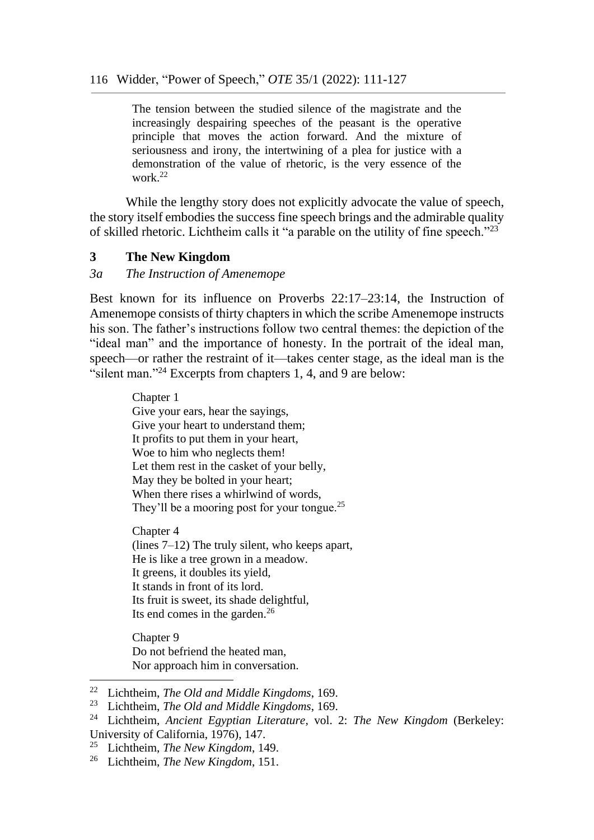The tension between the studied silence of the magistrate and the increasingly despairing speeches of the peasant is the operative principle that moves the action forward. And the mixture of seriousness and irony, the intertwining of a plea for justice with a demonstration of the value of rhetoric, is the very essence of the work.<sup>22</sup>

While the lengthy story does not explicitly advocate the value of speech, the story itself embodies the success fine speech brings and the admirable quality of skilled rhetoric. Lichtheim calls it "a parable on the utility of fine speech."<sup>23</sup>

### **3 The New Kingdom**

#### *3a The Instruction of Amenemope*

Best known for its influence on Proverbs 22:17–23:14, the Instruction of Amenemope consists of thirty chapters in which the scribe Amenemope instructs his son. The father's instructions follow two central themes: the depiction of the "ideal man" and the importance of honesty. In the portrait of the ideal man, speech—or rather the restraint of it—takes center stage, as the ideal man is the "silent man."<sup>24</sup> Excerpts from chapters 1, 4, and 9 are below:

> Chapter 1 Give your ears, hear the sayings, Give your heart to understand them; It profits to put them in your heart, Woe to him who neglects them! Let them rest in the casket of your belly, May they be bolted in your heart; When there rises a whirlwind of words, They'll be a mooring post for your tongue.<sup>25</sup>

Chapter 4 (lines 7–12) The truly silent, who keeps apart, He is like a tree grown in a meadow. It greens, it doubles its yield, It stands in front of its lord. Its fruit is sweet, its shade delightful, Its end comes in the garden. $^{26}$ 

Chapter 9 Do not befriend the heated man, Nor approach him in conversation.

<sup>22</sup> Lichtheim, *The Old and Middle Kingdoms*, 169.

<sup>23</sup> Lichtheim, *The Old and Middle Kingdoms*, 169.

<sup>24</sup> Lichtheim, *Ancient Egyptian Literature,* vol. 2: *The New Kingdom* (Berkeley: University of California, 1976), 147.

<sup>25</sup> Lichtheim, *The New Kingdom*, 149.

<sup>26</sup> Lichtheim, *The New Kingdom*, 151.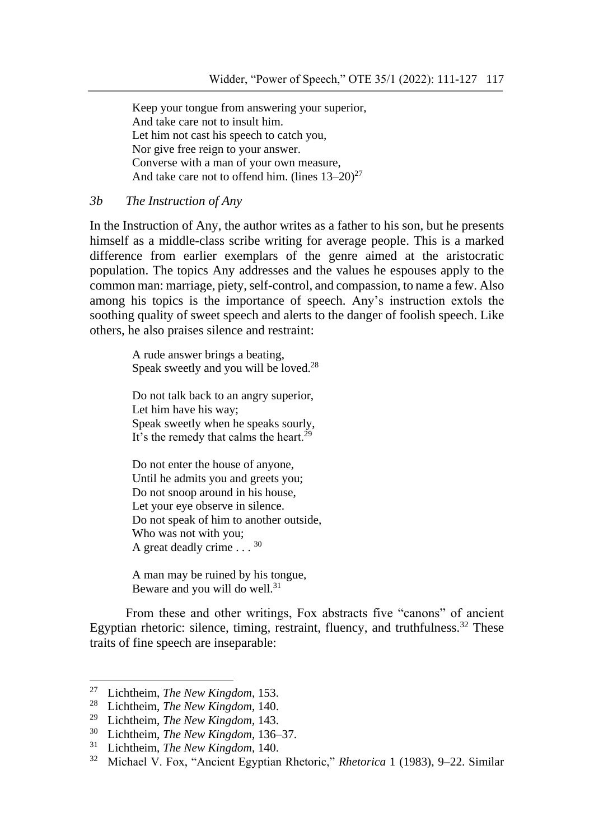Keep your tongue from answering your superior, And take care not to insult him. Let him not cast his speech to catch you, Nor give free reign to your answer. Converse with a man of your own measure, And take care not to offend him. (lines  $13-20$ )<sup>27</sup>

*3b The Instruction of Any*

In the Instruction of Any, the author writes as a father to his son, but he presents himself as a middle-class scribe writing for average people. This is a marked difference from earlier exemplars of the genre aimed at the aristocratic population. The topics Any addresses and the values he espouses apply to the common man: marriage, piety, self-control, and compassion, to name a few. Also among his topics is the importance of speech. Any's instruction extols the soothing quality of sweet speech and alerts to the danger of foolish speech. Like others, he also praises silence and restraint:

> A rude answer brings a beating, Speak sweetly and you will be loved.<sup>28</sup>

Do not talk back to an angry superior, Let him have his way; Speak sweetly when he speaks sourly, It's the remedy that calms the heart.<sup>29</sup>

Do not enter the house of anyone, Until he admits you and greets you; Do not snoop around in his house, Let your eye observe in silence. Do not speak of him to another outside, Who was not with you; A great deadly crime  $\ldots$  30

A man may be ruined by his tongue, Beware and you will do well.<sup>31</sup>

From these and other writings, Fox abstracts five "canons" of ancient Egyptian rhetoric: silence, timing, restraint, fluency, and truthfulness.<sup>32</sup> These traits of fine speech are inseparable:

<sup>27</sup> Lichtheim, *The New Kingdom*, 153.

<sup>28</sup> Lichtheim, *The New Kingdom*, 140.

<sup>29</sup> Lichtheim, *The New Kingdom*, 143.

<sup>30</sup> Lichtheim, *The New Kingdom*, 136–37.

<sup>31</sup> Lichtheim, *The New Kingdom*, 140.

<sup>32</sup> Michael V. Fox, "Ancient Egyptian Rhetoric," *Rhetorica* 1 (1983), 9–22. Similar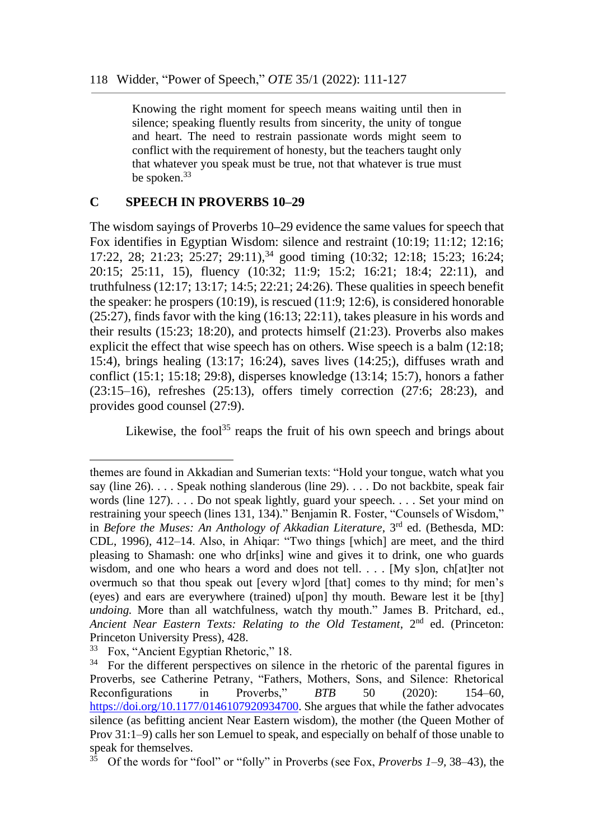Knowing the right moment for speech means waiting until then in silence; speaking fluently results from sincerity, the unity of tongue and heart. The need to restrain passionate words might seem to conflict with the requirement of honesty, but the teachers taught only that whatever you speak must be true, not that whatever is true must be spoken.<sup>33</sup>

#### **C SPEECH IN PROVERBS 10–29**

The wisdom sayings of Proverbs 10**–**29 evidence the same values for speech that Fox identifies in Egyptian Wisdom: silence and restraint (10:19; 11:12; 12:16; 17:22, 28; 21:23; 25:27; 29:11),<sup>34</sup> good timing (10:32; 12:18; 15:23; 16:24; 20:15; 25:11, 15), fluency (10:32; 11:9; 15:2; 16:21; 18:4; 22:11), and truthfulness (12:17; 13:17; 14:5; 22:21; 24:26). These qualities in speech benefit the speaker: he prospers (10:19), is rescued (11:9; 12:6), is considered honorable (25:27), finds favor with the king (16:13; 22:11), takes pleasure in his words and their results (15:23; 18:20), and protects himself (21:23). Proverbs also makes explicit the effect that wise speech has on others. Wise speech is a balm (12:18; 15:4), brings healing (13:17; 16:24), saves lives (14:25;), diffuses wrath and conflict (15:1; 15:18; 29:8), disperses knowledge (13:14; 15:7), honors a father (23:15–16), refreshes (25:13), offers timely correction (27:6; 28:23), and provides good counsel (27:9).

Likewise, the fool<sup>35</sup> reaps the fruit of his own speech and brings about

themes are found in Akkadian and Sumerian texts: "Hold your tongue, watch what you say (line 26). . . . Speak nothing slanderous (line 29). . . . Do not backbite, speak fair words (line 127). . . . Do not speak lightly, guard your speech. . . . Set your mind on restraining your speech (lines 131, 134)." Benjamin R. Foster, "Counsels of Wisdom," in *Before the Muses: An Anthology of Akkadian Literature*, 3<sup>rd</sup> ed. (Bethesda, MD: CDL, 1996), 412–14. Also, in Ahiqar: "Two things [which] are meet, and the third pleasing to Shamash: one who dr[inks] wine and gives it to drink, one who guards wisdom, and one who hears a word and does not tell. . . . [My s]on, ch[at]ter not overmuch so that thou speak out [every w]ord [that] comes to thy mind; for men's (eyes) and ears are everywhere (trained) u[pon] thy mouth. Beware lest it be [thy] *undoing*. More than all watchfulness, watch thy mouth." James B. Pritchard, ed., Ancient Near Eastern Texts: Relating to the Old Testament, 2<sup>nd</sup> ed. (Princeton: Princeton University Press), 428.

<sup>33</sup> Fox, "Ancient Egyptian Rhetoric," 18.

 $34$  For the different perspectives on silence in the rhetoric of the parental figures in Proverbs, see Catherine Petrany, "Fathers, Mothers, Sons, and Silence: Rhetorical Reconfigurations in Proverbs," *BTB* 50 (2020): 154–60, [https://doi.org/10.1177/0146107920934700.](https://doi.org/10.1177/0146107920934700) She argues that while the father advocates silence (as befitting ancient Near Eastern wisdom), the mother (the Queen Mother of Prov 31:1–9) calls her son Lemuel to speak, and especially on behalf of those unable to speak for themselves.

<sup>35</sup> Of the words for "fool" or "folly" in Proverbs (see Fox, *Proverbs 1*–*9,* 38–43), the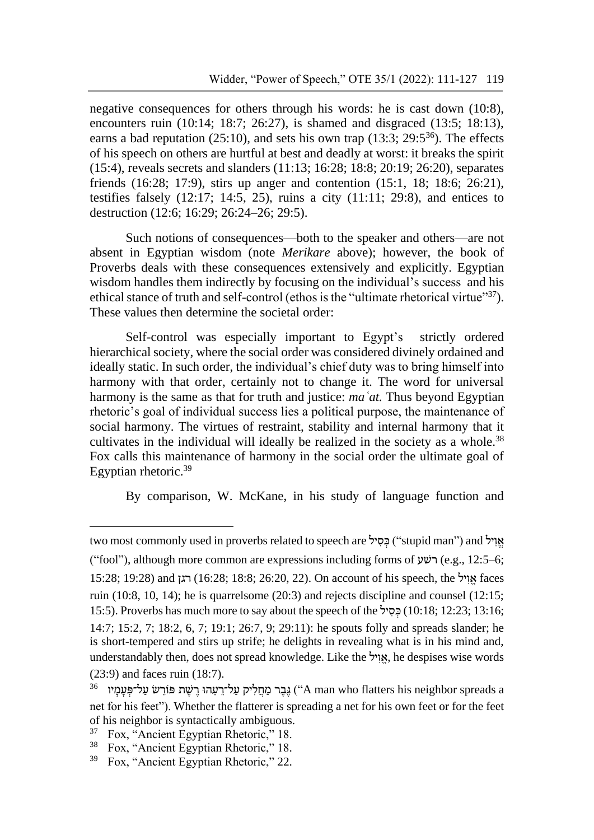negative consequences for others through his words: he is cast down (10:8), encounters ruin (10:14; 18:7; 26:27), is shamed and disgraced (13:5; 18:13), earns a bad reputation (25:10), and sets his own trap (13:3; 29:5<sup>36</sup>). The effects of his speech on others are hurtful at best and deadly at worst: it breaks the spirit (15:4), reveals secrets and slanders (11:13; 16:28; 18:8; 20:19; 26:20), separates friends (16:28; 17:9), stirs up anger and contention (15:1, 18; 18:6; 26:21), testifies falsely  $(12:17; 14:5, 25)$ , ruins a city  $(11:11; 29:8)$ , and entices to destruction (12:6; 16:29; 26:24–26; 29:5).

Such notions of consequences—both to the speaker and others—are not absent in Egyptian wisdom (note *Merikare* above); however, the book of Proverbs deals with these consequences extensively and explicitly. Egyptian wisdom handles them indirectly by focusing on the individual's success and his ethical stance of truth and self-control (ethos is the "ultimate rhetorical virtue"<sup>37</sup>). These values then determine the societal order:

Self-control was especially important to Egypt's strictly ordered hierarchical society, where the social order was considered divinely ordained and ideally static. In such order, the individual's chief duty was to bring himself into harmony with that order, certainly not to change it. The word for universal harmony is the same as that for truth and justice: *maʿat.* Thus beyond Egyptian rhetoric's goal of individual success lies a political purpose, the maintenance of social harmony. The virtues of restraint, stability and internal harmony that it cultivates in the individual will ideally be realized in the society as a whole.<sup>38</sup> Fox calls this maintenance of harmony in the social order the ultimate goal of Egyptian rhetoric.<sup>39</sup>

By comparison, W. McKane, in his study of language function and

<u>.</u>

two most commonly used in proverbs related to speech are "'stupid man") and אויל ("fool"), although more common are expressions including forms of שעׁר) e.g., 12:5–6; 15:28; 19:28) and רגן) 16:28 ;18:8 ;26:20, 22(. On account of his speech, the ילְּ וְּ א faces ruin (10:8, 10, 14); he is quarrelsome (20:3) and rejects discipline and counsel (12:15; 15:5). Proverbs has much more to say about the speech of the ילְּ סְּ כ) 10:18 ;12:23 ;13:16 ; 14:7; 15:2, 7; 18:2, 6, 7; 19:1; 26:7, 9; 29:11): he spouts folly and spreads slander; he is short-tempered and stirs up strife; he delights in revealing what is in his mind and, understandably then, does not spread knowledge. Like the 'אֱוֹיל, he despises wise words (23:9) and faces ruin (18:7).

 $^{36}$  יוֹרֵשׁ פּוֹרֵשׁ פּוֹרֵשׁ (הַחֲלִיק מַחֲלִיק עַל־רַעֲהוּ רֵישֵׁת פּוֹרֵשׁ עַל־פִּעַמַיו (A man who flatters his neighbor spreads a net for his feet"). Whether the flatterer is spreading a net for his own feet or for the feet of his neighbor is syntactically ambiguous.<br> $^{37}$  Fox "Ancient Equation Rhetoric" 18

<sup>37</sup> Fox, "Ancient Egyptian Rhetoric," 18.

<sup>38</sup> Fox, "Ancient Egyptian Rhetoric," 18.

<sup>39</sup> Fox, "Ancient Egyptian Rhetoric," 22.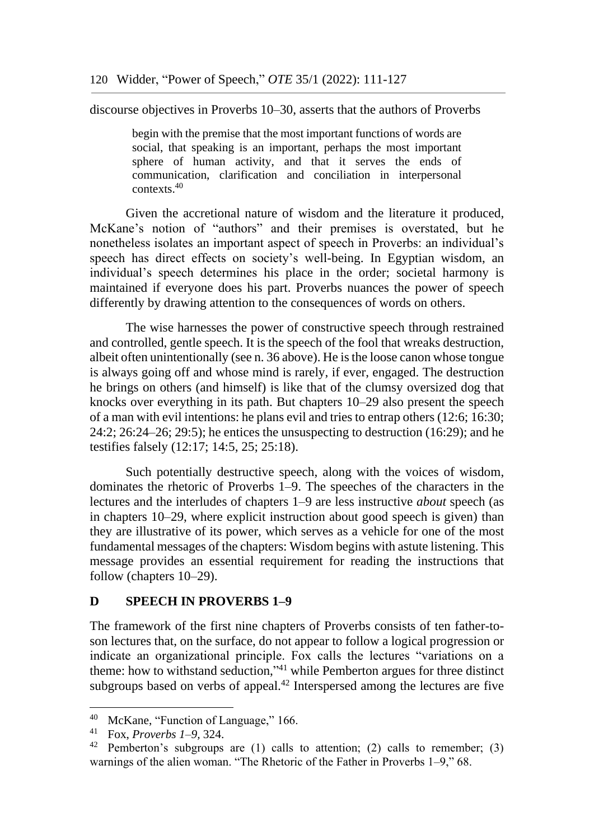discourse objectives in Proverbs 10–30, asserts that the authors of Proverbs

begin with the premise that the most important functions of words are social, that speaking is an important, perhaps the most important sphere of human activity, and that it serves the ends of communication, clarification and conciliation in interpersonal contexts.<sup>40</sup>

Given the accretional nature of wisdom and the literature it produced, McKane's notion of "authors" and their premises is overstated, but he nonetheless isolates an important aspect of speech in Proverbs: an individual's speech has direct effects on society's well-being. In Egyptian wisdom, an individual's speech determines his place in the order; societal harmony is maintained if everyone does his part. Proverbs nuances the power of speech differently by drawing attention to the consequences of words on others.

The wise harnesses the power of constructive speech through restrained and controlled, gentle speech. It is the speech of the fool that wreaks destruction, albeit often unintentionally (see n. 36 above). He is the loose canon whose tongue is always going off and whose mind is rarely, if ever, engaged. The destruction he brings on others (and himself) is like that of the clumsy oversized dog that knocks over everything in its path. But chapters 10–29 also present the speech of a man with evil intentions: he plans evil and tries to entrap others (12:6; 16:30; 24:2; 26:24–26; 29:5); he entices the unsuspecting to destruction (16:29); and he testifies falsely (12:17; 14:5, 25; 25:18).

Such potentially destructive speech, along with the voices of wisdom, dominates the rhetoric of Proverbs 1–9. The speeches of the characters in the lectures and the interludes of chapters 1–9 are less instructive *about* speech (as in chapters 10–29, where explicit instruction about good speech is given) than they are illustrative of its power, which serves as a vehicle for one of the most fundamental messages of the chapters: Wisdom begins with astute listening. This message provides an essential requirement for reading the instructions that follow (chapters 10–29).

#### **D SPEECH IN PROVERBS 1–9**

The framework of the first nine chapters of Proverbs consists of ten father-toson lectures that, on the surface, do not appear to follow a logical progression or indicate an organizational principle. Fox calls the lectures "variations on a theme: how to withstand seduction," <sup>41</sup> while Pemberton argues for three distinct subgroups based on verbs of appeal.<sup>42</sup> Interspersed among the lectures are five

<sup>40</sup> McKane, "Function of Language," 166.

<sup>41</sup> Fox, *Proverbs 1*–*9,* 324.

<sup>&</sup>lt;sup>42</sup> Pemberton's subgroups are (1) calls to attention; (2) calls to remember; (3) warnings of the alien woman. "The Rhetoric of the Father in Proverbs 1–9," 68.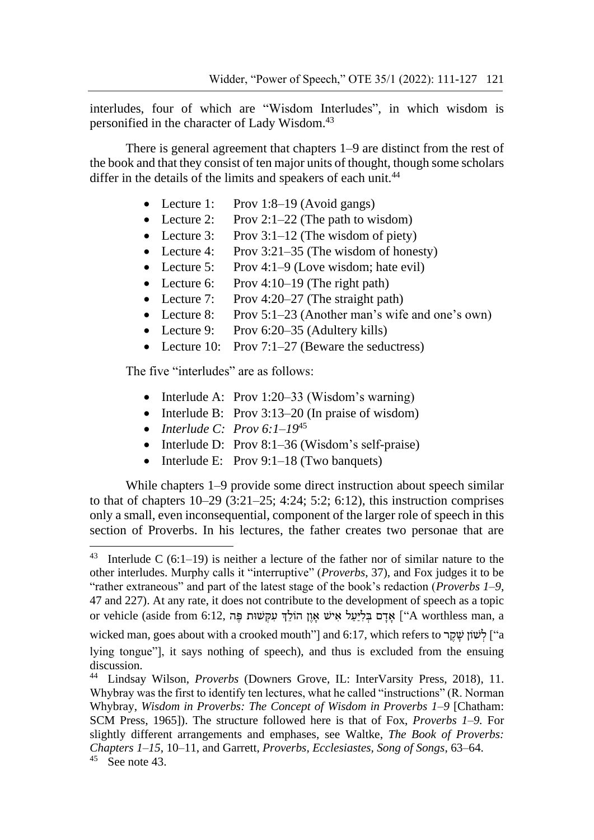interludes, four of which are "Wisdom Interludes", in which wisdom is personified in the character of Lady Wisdom.<sup>43</sup>

There is general agreement that chapters 1–9 are distinct from the rest of the book and that they consist of ten major units of thought, though some scholars differ in the details of the limits and speakers of each unit.<sup>44</sup>

- Lecture 1: Prov 1:8–19 (Avoid gangs)
- Lecture 2: Prov 2:1–22 (The path to wisdom)
- Lecture 3: Prov  $3:1-12$  (The wisdom of piety)
- Lecture 4: Prov 3:21–35 (The wisdom of honesty)
- Lecture 5: Prov 4:1–9 (Love wisdom; hate evil)
- Lecture 6: Prov 4:10–19 (The right path)
- Lecture 7: Prov 4:20–27 (The straight path)
- Lecture 8: Prov 5:1–23 (Another man's wife and one's own)
- Lecture 9: Prov 6:20–35 (Adultery kills)
- Lecture 10: Prov 7:1–27 (Beware the seductress)

The five "interludes" are as follows:

- Interlude A: Prov 1:20–33 (Wisdom's warning)
- Interlude B: Prov 3:13–20 (In praise of wisdom)
- *Interlude C: Prov 6:1–19*<sup>45</sup>
- Interlude D: Prov 8:1–36 (Wisdom's self-praise)
- Interlude E: Prov 9:1–18 (Two banquets)

While chapters 1–9 provide some direct instruction about speech similar to that of chapters  $10-29$   $(3:21-25; 4:24; 5:2; 6:12)$ , this instruction comprises only a small, even inconsequential, component of the larger role of speech in this section of Proverbs. In his lectures, the father creates two personae that are

<sup>&</sup>lt;sup>43</sup> Interlude C (6:1–19) is neither a lecture of the father nor of similar nature to the other interludes. Murphy calls it "interruptive" (*Proverbs*, 37), and Fox judges it to be "rather extraneous" and part of the latest stage of the book's redaction (*Proverbs 1*–*9*, 47 and 227). At any rate, it does not contribute to the development of speech as a topic a אֲדָם בִּלְיַעֲל אִישׁ אָוֵן הוֹלֵךְ עִקְּשׁוּת הֵּה 6:12, אֲדָם בִּלְיָעַל אִישׁ אָוֹן (A worthless man, a

wicked man, goes about with a crooked mouth"] and 6:17, which refers to לְשׁוֹן שַׁקֵר "a lying tongue"], it says nothing of speech), and thus is excluded from the ensuing discussion.

<sup>44</sup> Lindsay Wilson, *Proverbs* (Downers Grove, IL: InterVarsity Press, 2018), 11. Whybray was the first to identify ten lectures, what he called "instructions" (R. Norman Whybray, *Wisdom in Proverbs: The Concept of Wisdom in Proverbs 1–9* [Chatham: SCM Press, 1965]). The structure followed here is that of Fox, *Proverbs 1–9.* For slightly different arrangements and emphases, see Waltke, *The Book of Proverbs: Chapters 1*–*15*, 10–11, and Garrett, *Proverbs, Ecclesiastes, Song of Songs*, 63–64.

 $45$  See note 43.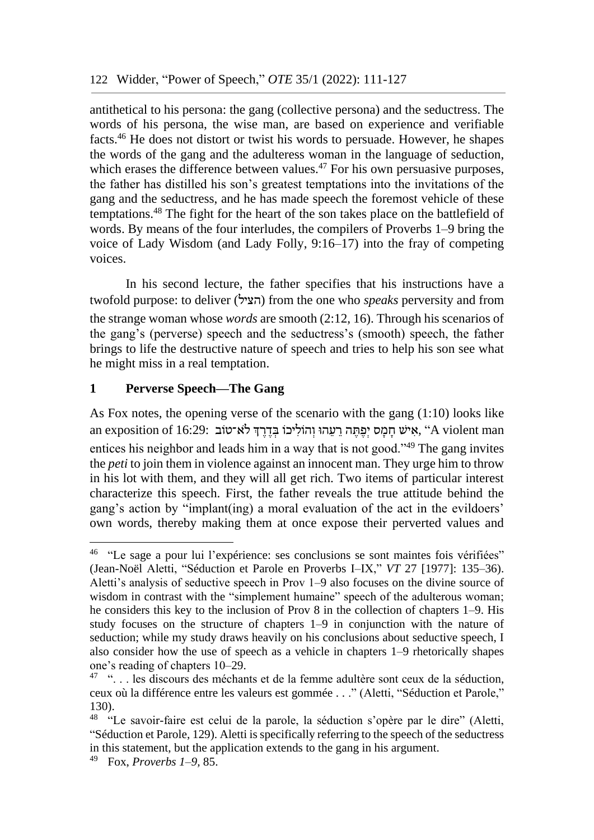antithetical to his persona: the gang (collective persona) and the seductress. The words of his persona, the wise man, are based on experience and verifiable facts.<sup>46</sup> He does not distort or twist his words to persuade. However, he shapes the words of the gang and the adulteress woman in the language of seduction, which erases the difference between values.<sup>47</sup> For his own persuasive purposes, the father has distilled his son's greatest temptations into the invitations of the gang and the seductress, and he has made speech the foremost vehicle of these temptations.<sup>48</sup> The fight for the heart of the son takes place on the battlefield of words. By means of the four interludes, the compilers of Proverbs 1–9 bring the voice of Lady Wisdom (and Lady Folly, 9:16–17) into the fray of competing voices.

In his second lecture, the father specifies that his instructions have a twofold purpose: to deliver (הציל (from the one who *speaks* perversity and from the strange woman whose *words* are smooth (2:12, 16). Through his scenarios of the gang's (perverse) speech and the seductress's (smooth) speech, the father brings to life the destructive nature of speech and tries to help his son see what he might miss in a real temptation.

### **1 Perverse Speech—The Gang**

As Fox notes, the opening verse of the scenario with the gang (1:10) looks like an exposition of 16:29: אֵישׁ חַמֲס יִפֵּתֶּה רֵעֲהוּ וְהוֹלִיכוֹ בְּדֵרֶךְ לֹא־טוֹב, "A violent man entices his neighbor and leads him in a way that is not good."<sup>49</sup> The gang invites the *peti* to join them in violence against an innocent man. They urge him to throw in his lot with them, and they will all get rich. Two items of particular interest characterize this speech. First, the father reveals the true attitude behind the gang's action by "implant(ing) a moral evaluation of the act in the evildoers' own words, thereby making them at once expose their perverted values and

<sup>&</sup>lt;sup>46</sup> "Le sage a pour lui l'expérience: ses conclusions se sont maintes fois vérifiées" (Jean-Noël Aletti, "Séduction et Parole en Proverbs I–IX," *VT* 27 [1977]: 135–36). Aletti's analysis of seductive speech in Prov 1–9 also focuses on the divine source of wisdom in contrast with the "simplement humaine" speech of the adulterous woman; he considers this key to the inclusion of Prov 8 in the collection of chapters 1–9. His study focuses on the structure of chapters 1–9 in conjunction with the nature of seduction; while my study draws heavily on his conclusions about seductive speech, I also consider how the use of speech as a vehicle in chapters 1–9 rhetorically shapes one's reading of chapters 10–29.

<sup>&</sup>lt;sup>47</sup> "... les discours des méchants et de la femme adultère sont ceux de la séduction, ceux où la différence entre les valeurs est gommée . . ." (Aletti, "Séduction et Parole," 130).

<sup>48</sup> "Le savoir-faire est celui de la parole, la séduction s'opère par le dire" (Aletti, "Séduction et Parole, 129). Aletti is specifically referring to the speech of the seductress in this statement, but the application extends to the gang in his argument.

<sup>49</sup> Fox, *Proverbs 1*–*9,* 85.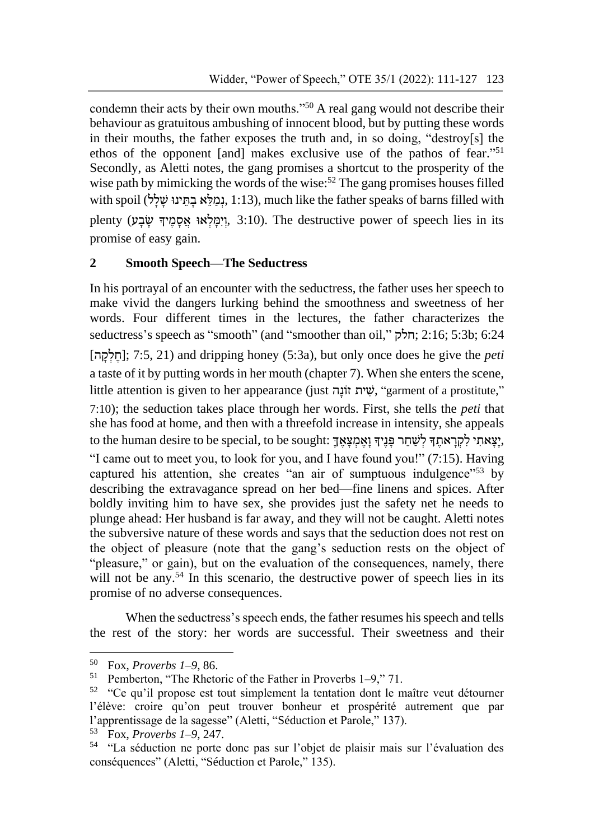condemn their acts by their own mouths."<sup>50</sup> A real gang would not describe their behaviour as gratuitous ambushing of innocent blood, but by putting these words in their mouths, the father exposes the truth and, in so doing, "destroy[s] the ethos of the opponent [and] makes exclusive use of the pathos of fear." 51 Secondly, as Aletti notes, the gang promises a shortcut to the prosperity of the wise path by mimicking the words of the wise:<sup>52</sup> The gang promises houses filled with spoil (נְמַלֵּא בְתֵּינוּ שַׁלַל, 1:13), much like the father speaks of barns filled with plenty (וְיִמְּלְאוּ אֲסְמֶיךָ שָׂבָע), 3:10). The destructive power of speech lies in its promise of easy gain.

### **2 Smooth Speech—The Seductress**

In his portrayal of an encounter with the seductress, the father uses her speech to make vivid the dangers lurking behind the smoothness and sweetness of her words. Four different times in the lectures, the father characterizes the seductress's speech as "smooth" (and "smoother than oil," חלק ;2:16 ;5:3b; 6:24 [הְּ קְּ לְּ ח ;[7:5, 21 (and dripping honey (5:3a), but only once does he give the *peti* a taste of it by putting words in her mouth (chapter 7). When she enters the scene, little attention is given to her appearance (just שית זוֹנה, "garment of a prostitute," 7:10); the seduction takes place through her words. First, she tells the *peti* that she has food at home, and then with a threefold increase in intensity, she appeals to the human desire to be special, to be sought: יַצָּאתִי לְקְרָאתֵךְ לְשָׁחֵר פַּנֵיךְ וַאֲמְצָאֵךְ "I came out to meet you, to look for you, and I have found you!" (7:15). Having captured his attention, she creates "an air of sumptuous indulgence"<sup>53</sup> by describing the extravagance spread on her bed—fine linens and spices. After boldly inviting him to have sex, she provides just the safety net he needs to plunge ahead: Her husband is far away, and they will not be caught. Aletti notes the subversive nature of these words and says that the seduction does not rest on the object of pleasure (note that the gang's seduction rests on the object of "pleasure," or gain), but on the evaluation of the consequences, namely, there will not be any.<sup>54</sup> In this scenario, the destructive power of speech lies in its promise of no adverse consequences.

When the seductress's speech ends, the father resumes his speech and tells the rest of the story: her words are successful. Their sweetness and their

 $50$  Fox, *Proverbs 1–9*, 86.<br> $51$  Pemberton "The Photo"

<sup>51</sup> Pemberton, "The Rhetoric of the Father in Proverbs 1–9," 71.

 $52$  "Ce qu'il propose est tout simplement la tentation dont le maître veut détourner l'élève: croire qu'on peut trouver bonheur et prospérité autrement que par l'apprentissage de la sagesse" (Aletti, "Séduction et Parole," 137).

<sup>53</sup> Fox, *Proverbs 1–9*, 247.

<sup>54</sup> "La séduction ne porte donc pas sur l'objet de plaisir mais sur l'évaluation des conséquences" (Aletti, "Séduction et Parole," 135).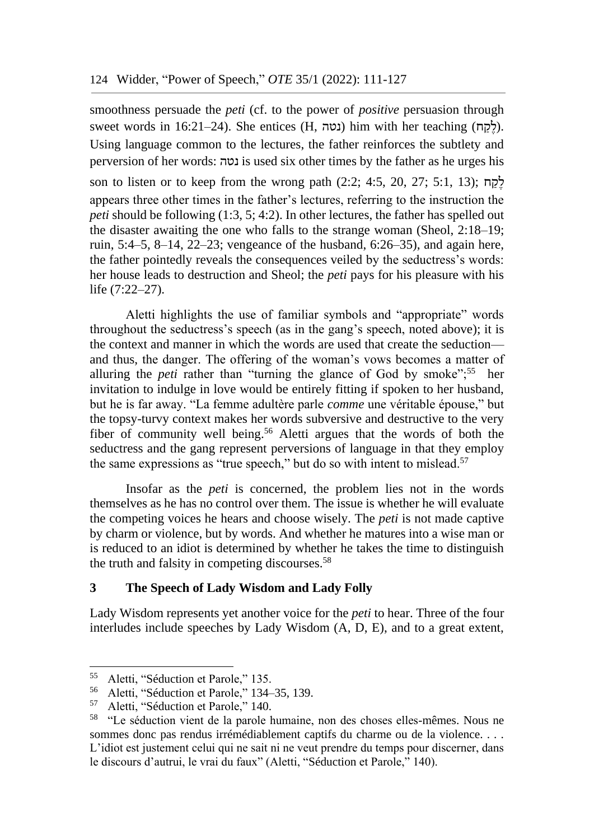smoothness persuade the *peti* (cf. to the power of *positive* persuasion through sweet words in 16:21–24). She entices (H, נטה) him with her teaching (לקח). Using language common to the lectures, the father reinforces the subtlety and perversion of her words: נטה is used six other times by the father as he urges his son to listen or to keep from the wrong path  $(2:2; 4:5, 20, 27; 5:1, 13);$  לְקָח appears three other times in the father's lectures, referring to the instruction the *peti* should be following (1:3, 5; 4:2). In other lectures, the father has spelled out the disaster awaiting the one who falls to the strange woman (Sheol, 2:18–19; ruin, 5:4–5, 8–14, 22–23; vengeance of the husband, 6:26–35), and again here, the father pointedly reveals the consequences veiled by the seductress's words: her house leads to destruction and Sheol; the *peti* pays for his pleasure with his life (7:22–27).

Aletti highlights the use of familiar symbols and "appropriate" words throughout the seductress's speech (as in the gang's speech, noted above); it is the context and manner in which the words are used that create the seduction and thus, the danger. The offering of the woman's vows becomes a matter of alluring the *peti* rather than "turning the glance of God by smoke";<sup>55</sup> her invitation to indulge in love would be entirely fitting if spoken to her husband, but he is far away. "La femme adultère parle *comme* une véritable épouse," but the topsy-turvy context makes her words subversive and destructive to the very fiber of community well being.<sup>56</sup> Aletti argues that the words of both the seductress and the gang represent perversions of language in that they employ the same expressions as "true speech," but do so with intent to mislead.<sup>57</sup>

Insofar as the *peti* is concerned, the problem lies not in the words themselves as he has no control over them. The issue is whether he will evaluate the competing voices he hears and choose wisely. The *peti* is not made captive by charm or violence, but by words. And whether he matures into a wise man or is reduced to an idiot is determined by whether he takes the time to distinguish the truth and falsity in competing discourses.<sup>58</sup>

### **3 The Speech of Lady Wisdom and Lady Folly**

Lady Wisdom represents yet another voice for the *peti* to hear. Three of the four interludes include speeches by Lady Wisdom (A, D, E), and to a great extent,

<sup>55</sup> Aletti, "Séduction et Parole," 135.

<sup>&</sup>lt;sup>56</sup> Aletti, "Séduction et Parole," 134–35, 139.<br> $\frac{57}{2}$  Aletti "Séduction et Parole," 140

Aletti, "Séduction et Parole," 140.

<sup>58</sup> "Le séduction vient de la parole humaine, non des choses elles-mêmes. Nous ne sommes donc pas rendus irrémédiablement captifs du charme ou de la violence. . . . L'idiot est justement celui qui ne sait ni ne veut prendre du temps pour discerner, dans le discours d'autrui, le vrai du faux" (Aletti, "Séduction et Parole," 140).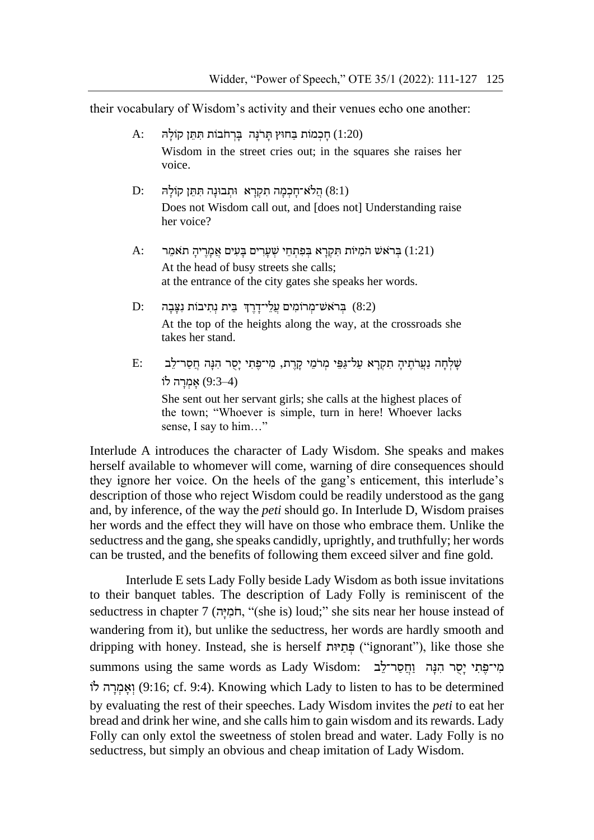their vocabulary of Wisdom's activity and their venues echo one another:

- $\rm A:$  חַכְּמוֹת בַּחוּץ תַּרֹנַּה בַּרְחֹבוֹת תְּתֵן קוֹלַה  $(1:20)$ Wisdom in the street cries out; in the squares she raises her voice.
- $D:$  הַלֹּא־חַכְמַה תְקָרַא וּתְבוּנַה תְּתֵּן קוֹלַה  $(8:1)$ Does not Wisdom call out, and [does not] Understanding raise her voice?
- $\rm A:$  בְּרְּא $\rm w$  הֹמְיּוֹת תְּקְרַא בְּפְתְחֵי שְׁעַרִים בְּעִים אֲמַרֵיהַ תֹּאמֶר  $\rm (1:21)$ At the head of busy streets she calls; at the entrance of the city gates she speaks her words.
- D: בְּרֹא<sup>ָ</sup>שׁ־מְרֹוֹמִים עֲלֵי־דַרֵךְ בֵּית נְתְיִבוֹת נְצָבָה  $(8:2)$ At the top of the heights along the way, at the crossroads she takes her stand.
- $\rm E:$ וֹש הָּנָה הְּנָה הָפָת יִחֲר־לֵב בְּנוֹתְּי מִי־פָּת וְּיִפְּי מְּלֹמֵי הִמְרָּא מַל־גַּפֵּי מְרֹמֵי  $(9:3-4)$  אָמְרָה לוֹ She sent out her servant girls; she calls at the highest places of the town; "Whoever is simple, turn in here! Whoever lacks sense, I say to him…"

Interlude A introduces the character of Lady Wisdom. She speaks and makes herself available to whomever will come, warning of dire consequences should they ignore her voice. On the heels of the gang's enticement, this interlude's description of those who reject Wisdom could be readily understood as the gang and, by inference, of the way the *peti* should go. In Interlude D, Wisdom praises her words and the effect they will have on those who embrace them. Unlike the seductress and the gang, she speaks candidly, uprightly, and truthfully; her words can be trusted, and the benefits of following them exceed silver and fine gold.

Interlude E sets Lady Folly beside Lady Wisdom as both issue invitations to their banquet tables. The description of Lady Folly is reminiscent of the seductress in chapter 7 (הְמִיּה, "(she is) loud;" she sits near her house instead of wandering from it), but unlike the seductress, her words are hardly smooth and dripping with honey. Instead, she is herself פתיות ("ignorant"), like those she summons using the same words as Lady Wisdom: מי־פתי יסר הנה וחסר־לב וֹאֲמְרָה לוֹ (9:16; cf. 9:4). Knowing which Lady to listen to has to be determined by evaluating the rest of their speeches. Lady Wisdom invites the *peti* to eat her bread and drink her wine, and she calls him to gain wisdom and its rewards. Lady Folly can only extol the sweetness of stolen bread and water. Lady Folly is no seductress, but simply an obvious and cheap imitation of Lady Wisdom.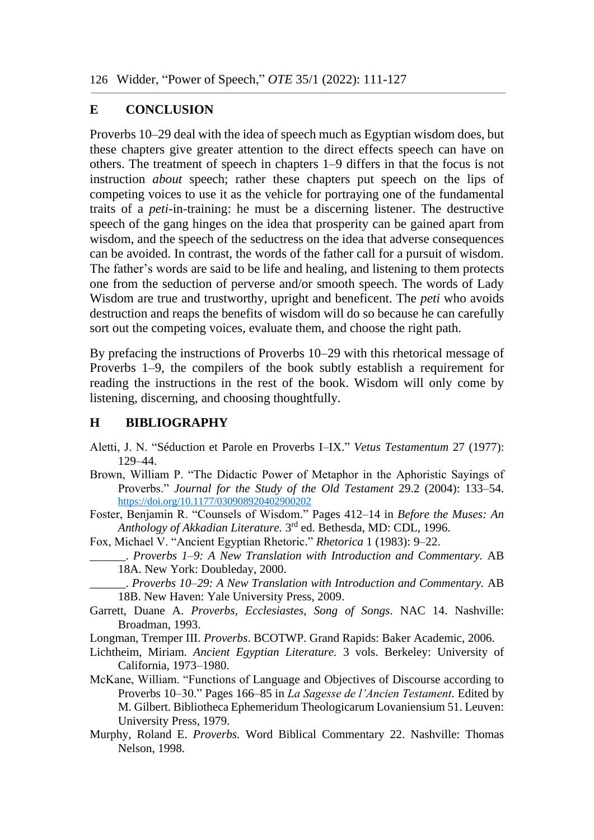#### **E CONCLUSION**

Proverbs 10–29 deal with the idea of speech much as Egyptian wisdom does, but these chapters give greater attention to the direct effects speech can have on others. The treatment of speech in chapters 1–9 differs in that the focus is not instruction *about* speech; rather these chapters put speech on the lips of competing voices to use it as the vehicle for portraying one of the fundamental traits of a *peti-*in-training: he must be a discerning listener. The destructive speech of the gang hinges on the idea that prosperity can be gained apart from wisdom, and the speech of the seductress on the idea that adverse consequences can be avoided. In contrast, the words of the father call for a pursuit of wisdom. The father's words are said to be life and healing, and listening to them protects one from the seduction of perverse and/or smooth speech. The words of Lady Wisdom are true and trustworthy, upright and beneficent. The *peti* who avoids destruction and reaps the benefits of wisdom will do so because he can carefully sort out the competing voices, evaluate them, and choose the right path.

By prefacing the instructions of Proverbs 10–29 with this rhetorical message of Proverbs 1–9, the compilers of the book subtly establish a requirement for reading the instructions in the rest of the book. Wisdom will only come by listening, discerning, and choosing thoughtfully.

#### **H BIBLIOGRAPHY**

- Aletti, J. N. "Séduction et Parole en Proverbs I–IX." *Vetus Testamentum* 27 (1977): 129–44.
- Brown, William P. "The Didactic Power of Metaphor in the Aphoristic Sayings of Proverbs." *Journal for the Study of the Old Testament* 29.2 (2004): 133–54. [https://doi.org/10.1177/030908920402900202](https://doi.org/10.1177%2F030908920402900202)
- Foster, Benjamin R. "Counsels of Wisdom." Pages 412–14 in *Before the Muses: An*  Anthology of Akkadian Literature. 3<sup>rd</sup> ed. Bethesda, MD: CDL, 1996.
- Fox, Michael V. "Ancient Egyptian Rhetoric." *Rhetorica* 1 (1983): 9–22.
	- \_\_\_\_\_\_. *Proverbs 1–9: A New Translation with Introduction and Commentary.* AB 18A. New York: Doubleday, 2000.
		- \_\_\_\_\_\_. *Proverbs 10–29: A New Translation with Introduction and Commentary.* AB 18B. New Haven: Yale University Press, 2009.
- Garrett, Duane A. *Proverbs, Ecclesiastes, Song of Songs*. NAC 14. Nashville: Broadman, 1993.
- Longman, Tremper III. *Proverbs*. BCOTWP. Grand Rapids: Baker Academic, 2006.
- Lichtheim, Miriam. *Ancient Egyptian Literature.* 3 vols. Berkeley: University of California, 1973–1980.
- McKane, William. "Functions of Language and Objectives of Discourse according to Proverbs 10–30." Pages 166–85 in *La Sagesse de l'Ancien Testament.* Edited by M. Gilbert. Bibliotheca Ephemeridum Theologicarum Lovaniensium 51. Leuven: University Press, 1979.
- Murphy, Roland E. *Proverbs.* Word Biblical Commentary 22. Nashville: Thomas Nelson, 1998.